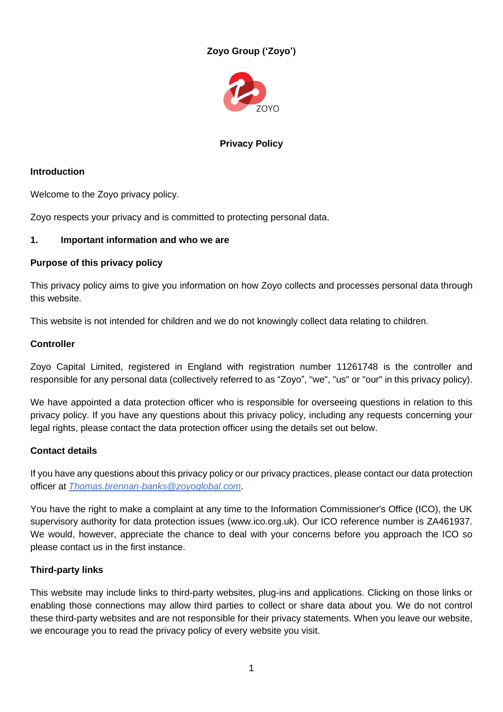# **Zoyo Group ('Zoyo')**



# **Privacy Policy**

# **Introduction**

Welcome to the Zoyo privacy policy.

Zoyo respects your privacy and is committed to protecting personal data.

# **1. Important information and who we are**

#### **Purpose of this privacy policy**

This privacy policy aims to give you information on how Zoyo collects and processes personal data through this website.

This website is not intended for children and we do not knowingly collect data relating to children.

# **Controller**

Zoyo Capital Limited, registered in England with registration number 11261748 is the controller and responsible for any personal data (collectively referred to as "Zoyo", "we", "us" or "our" in this privacy policy).

We have appointed a data protection officer who is responsible for overseeing questions in relation to this privacy policy. If you have any questions about this privacy policy, including any requests concerning your legal rights, please contact the data protection officer using the details set out below.

#### **Contact details**

If you have any questions about this privacy policy or our privacy practices, please contact our data protection officer at *[Thomas.brennan-banks@zoyoglobal.com](mailto:Thomas.brennan-banks@zoyoglobal.com)*.

You have the right to make a complaint at any time to the Information Commissioner's Office (ICO), the UK supervisory authority for data protection issues (www.ico.org.uk). Our ICO reference number is ZA461937. We would, however, appreciate the chance to deal with your concerns before you approach the ICO so please contact us in the first instance.

# **Third-party links**

This website may include links to third-party websites, plug-ins and applications. Clicking on those links or enabling those connections may allow third parties to collect or share data about you. We do not control these third-party websites and are not responsible for their privacy statements. When you leave our website, we encourage you to read the privacy policy of every website you visit.